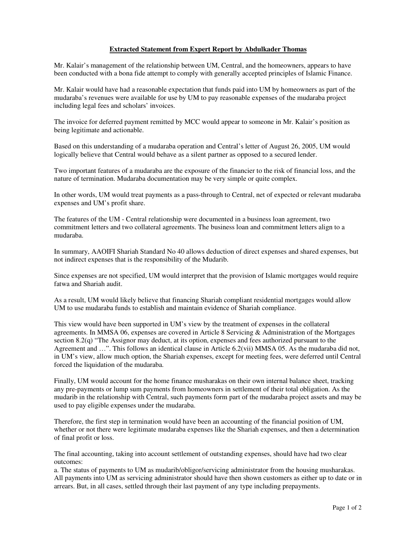## **Extracted Statement from Expert Report by Abdulkader Thomas**

Mr. Kalair's management of the relationship between UM, Central, and the homeowners, appears to have been conducted with a bona fide attempt to comply with generally accepted principles of Islamic Finance.

Mr. Kalair would have had a reasonable expectation that funds paid into UM by homeowners as part of the mudaraba's revenues were available for use by UM to pay reasonable expenses of the mudaraba project including legal fees and scholars' invoices.

The invoice for deferred payment remitted by MCC would appear to someone in Mr. Kalair's position as being legitimate and actionable.

Based on this understanding of a mudaraba operation and Central's letter of August 26, 2005, UM would logically believe that Central would behave as a silent partner as opposed to a secured lender.

Two important features of a mudaraba are the exposure of the financier to the risk of financial loss, and the nature of termination. Mudaraba documentation may be very simple or quite complex.

In other words, UM would treat payments as a pass-through to Central, net of expected or relevant mudaraba expenses and UM's profit share.

The features of the UM - Central relationship were documented in a business loan agreement, two commitment letters and two collateral agreements. The business loan and commitment letters align to a mudaraba.

In summary, AAOIFI Shariah Standard No 40 allows deduction of direct expenses and shared expenses, but not indirect expenses that is the responsibility of the Mudarib.

Since expenses are not specified, UM would interpret that the provision of Islamic mortgages would require fatwa and Shariah audit.

As a result, UM would likely believe that financing Shariah compliant residential mortgages would allow UM to use mudaraba funds to establish and maintain evidence of Shariah compliance.

This view would have been supported in UM's view by the treatment of expenses in the collateral agreements. In MMSA 06, expenses are covered in Article 8 Servicing & Administration of the Mortgages section 8.2(q) "The Assignor may deduct, at its option, expenses and fees authorized pursuant to the Agreement and …". This follows an identical clause in Article 6.2(vii) MMSA 05. As the mudaraba did not, in UM's view, allow much option, the Shariah expenses, except for meeting fees, were deferred until Central forced the liquidation of the mudaraba.

Finally, UM would account for the home finance musharakas on their own internal balance sheet, tracking any pre-payments or lump sum payments from homeowners in settlement of their total obligation. As the mudarib in the relationship with Central, such payments form part of the mudaraba project assets and may be used to pay eligible expenses under the mudaraba.

Therefore, the first step in termination would have been an accounting of the financial position of UM, whether or not there were legitimate mudaraba expenses like the Shariah expenses, and then a determination of final profit or loss.

The final accounting, taking into account settlement of outstanding expenses, should have had two clear outcomes:

a. The status of payments to UM as mudarib/obligor/servicing administrator from the housing musharakas. All payments into UM as servicing administrator should have then shown customers as either up to date or in arrears. But, in all cases, settled through their last payment of any type including prepayments.